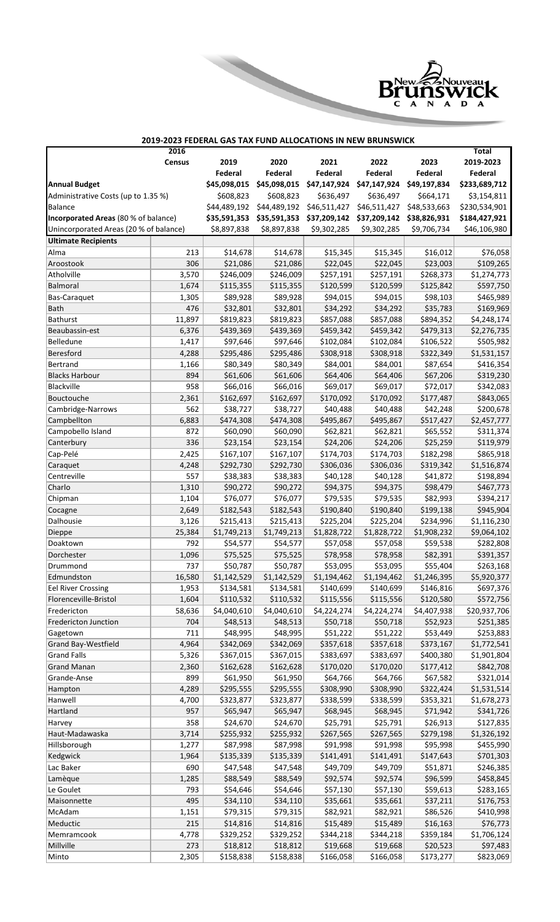

## **2016 Census 2019 2020 2021 2022 2023 Total 2019-2023 Federal Federal Federal Federal Federal Federal Annual Budget \$45,098,015 \$45,098,015 \$47,147,924 \$47,147,924 \$49,197,834 \$233,689,712** Administrative Costs (up to 1.35 %) \$608,823 \$608,823 \$636,497 \$636,497 \$664,171 \$3,154,811 Balance \$44,489,192 \$44,489,192 \$46,511,427 \$46,511,427 \$48,533,663 \$230,534,901 **Incorporated Areas** (80 % of balance) **\$35,591,353 \$35,591,353 \$37,209,142 \$37,209,142 \$38,826,931 \$184,427,921** Unincorporated Areas (20 % of balance) \$8,897,838 \$8,897,838 \$9,302,285 \$9,302,285 \$9,706,734 \$46,106,980 **Ultimate Recipients** Alma 213 \$14,678 \$14,678 \$15,345 \$15,345 \$16,012 \$76,058 Aroostook 306 \$21,086 \$21,086 \$22,045 \$22,045 \$23,003 \$109,265 Atholville 3,570 \$246,009 \$246,009 \$257,191 \$257,191 \$268,373 \$1,274,773 Balmoral 1,674 \$115,355 \$115,355 \$120,599 \$120,599 \$125,842 \$597,750 Bas-Caraquet 1,305 \$89,928 \$89,928 \$94,015 \$94,015 \$98,103 \$465,989 Bath 476 \$32,801 \$32,801 \$34,292 \$34,292 \$35,783 \$169,969 Bathurst 11,897 \$819,823 \$819,823 \$857,088 \$857,088 \$894,352 \$4,248,174 Beaubassin-est 6,376 \$439,369 \$439,369 \$459,342 \$459,342 \$479,313 \$2,276,735 Belledune 1,417 \$97,646 \$97,646 \$102,084 \$102,084 \$106,522 \$505,982 Beresford 4,288 | \$295,486 | \$295,486 | \$308,918 | \$308,918 | \$322,349 | \$1,531,157 Bertrand 1,166 \$80,349 \$80,349 \$84,001 \$84,001 \$87,654 \$416,354 Blacks Harbour 894 \$61,606 \$61,606 \$64,406 \$64,406 \$67,206 \$319,230 Blackville 958 \$66,016 \$66,016 \$69,017 \$69,017 \$72,017 \$342,083 Bouctouche 2,361 \$162,697 \$162,697 \$170,092 \$170,092 \$177,487 \$843,065  $Cambridge-Narrows$   $\qquad$  562  $\qquad$   $\qquad$   $\qquad$   $\qquad$   $\qquad$   $\qquad$   $\qquad$   $\qquad$   $\qquad$   $\qquad$   $\qquad$   $\qquad$   $\qquad$   $\qquad$   $\qquad$   $\qquad$   $\qquad$   $\qquad$   $\qquad$   $\qquad$   $\qquad$   $\qquad$   $\qquad$   $\qquad$  Campbellton 6,883 \$474,308 \$474,308 \$495,867 \$495,867 \$517,427 \$2,457,777 Campobello Island  $872$   $\big|$   $872$   $\big|$   $560,090$   $560,090$   $562,821$   $562,821$   $565,552$   $5311,374$ Canterbury 336 \$23,154 \$23,154 \$24,206 \$24,206 \$25,259 \$119,979 Cap-Pelé 2,425 \$167,107 \$167,107 \$174,703 \$174,703 \$182,298 \$865,918 Caraquet 4,248 \$292,730 \$292,730 \$306,036 \$306,036 \$319,342 \$1,516,874 Centreville 557 \$38,383 \$38,383 \$40,128 \$40,128 \$41,872 \$198,894 Charlo 1,310 \$90,272 \$90,272 \$94,375 \$94,375 \$98,479 \$467,773 Chipman 1,104 \$76,077 \$76,077 \$79,535 \$79,535 \$82,993 \$394,217 Cocagne 2,649 \$182,543 \$182,543 \$190,840 \$190,840 \$199,138 \$945,904 Dalhousie 3,126 \$215,413 \$215,413 \$225,204 \$225,204 \$234,996 \$1,116,230 Dieppe 25,384 \$1,749,213 \$1,749,213 \$1,828,722 \$1,828,722 \$1,908,232 \$9,064,102 Doaktown 792 \$54,577 \$54,577 \$57,058 \$57,058 \$59,538 \$282,808 Dorchester 1,096 \$75,525 \$75,525 \$78,958 \$78,958 \$82,391 \$391,357 Drummond 737 \$50,787 \$50,787 \$53,095 \$53,095 \$55,404 \$263,168 Edmundston 16,580 \$1,142,529 \$1,142,529 \$1,194,462 \$1,194,462 \$1,246,395 \$5,920,377 Eel River Crossing  $1,953$   $\begin{array}{|l} 1,953 \end{array}$   $\begin{array}{|l} 134,581 \end{array}$   $\begin{array}{|l} 134,581 \end{array}$   $\begin{array}{|l} 5140,699 \end{array}$   $\begin{array}{|l} 5140,699 \end{array}$   $\begin{array}{|l} 5146,816 \end{array}$   $\begin{array}{|l} 5697,376 \end{array}$ Florenceville-Bristol 1,604 \$110,532 \$110,532 \$115,556 \$115,556 \$120,580 \$572,756 Fredericton 58,636 \$4,040,610 \$4,040,610 \$4,224,274 \$4,224,274 \$4,407,938 \$20,937,706 Fredericton Junction  $704$   $\frac{1}{2}48,513$   $\frac{1}{2}48,513$   $\frac{1}{2}50,718$   $\frac{1}{2}50,718$   $\frac{1}{2}52,923$   $\frac{1}{2}251,385$ Gagetown 711 | \$48,995 \$51,222 \$51,222 \$53,449 \$253,883 Grand Bay-Westfield 4,964 \$342,069 \$342,069 \$357,618 \$357,618 \$373,167 \$1,772,541 Grand Falls 5,326 \$367,015 \$367,015 \$383,697 \$383,697 \$400,380 \$1,901,804 Grand Manan 2,360 \$162,628 \$162,628 \$170,020 \$170,020 \$177,412 \$842,708 Grande-Anse 899 \$61,950 \$61,950 \$64,766 \$64,766 \$67,582 \$321,014 Hampton 4,289 \$295,555 \$295,555 \$308,990 \$308,990 \$322,424 \$1,531,514 Hanwell 4,700 \$323,877 \$323,877 \$338,599 \$338,599 \$353,321 \$1,678,273 Hartland 957 \$65,947 \$65,947 \$68,945 \$68,945 \$71,942 \$341,726 Harvey 358 \$24,670 \$24,670 \$25,791 \$25,791 \$26,913 \$127,835 Haut-Madawaska 3,714 \$255,932 \$255,932 \$267,565 \$267,565 \$279,198 \$1,326,192 Hillsborough | 1,277 | \$87,998 | \$87,998 | \$91,998 | \$91,998 | \$95,998 | \$455,990 Kedgwick 1,964 \$135,339 \$135,339 \$141,491 \$141,491 \$147,643 \$701,303 Lac Baker | 690 | \$47,548 | \$47,548 | \$49,709 | \$49,709 | \$51,871 | \$246,385 Lamèque 1,285 \$88,549 \$88,549 \$92,574 \$92,574 \$96,599 \$458,845 Le Goulet 793 | \$54,646 | \$54,646 | \$57,130 | \$57,130 | \$59,613 | \$283,165 Maisonnette 495 \$34,110 \$34,110 \$35,661 \$35,661 \$37,211 \$176,753 McAdam 1,151 \$79,315 \$79,315 \$82,921 \$82,921 \$86,526 \$410,998 Meductic 215 \$14,816 \$14,816 \$15,489 \$15,489 \$16,163 \$76,773 Memramcook 4,778 \$329,252 \$329,252 \$344,218 \$344,218 \$359,184 \$1,706,124 Millville 273 \$18,812 \$18,812 \$19,668 \$19,668 \$20,523 \$97,483 Minto 2,305 \$158,838 \$158,838 \$166,058 \$166,058 \$173,277 \$823,069 **2019-2023 FEDERAL GAS TAX FUND ALLOCATIONS IN NEW BRUNSWICK**